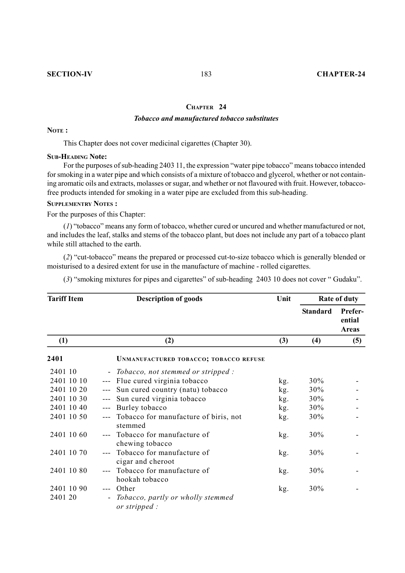#### **CHAPTER 24**

## *Tobacco and manufactured tobacco substitutes*

**NOTE :**

This Chapter does not cover medicinal cigarettes (Chapter 30).

#### **SUB-HEADING Note:**

For the purposes of sub-heading 2403 11, the expression "water pipe tobacco" means tobacco intended for smoking in a water pipe and which consists of a mixture of tobacco and glycerol, whether or not containing aromatic oils and extracts, molasses or sugar, and whether or not flavoured with fruit. However, tobaccofree products intended for smoking in a water pipe are excluded from this sub-heading.

## **SUPPLEMENTRY NOTES :**

For the purposes of this Chapter:

(*1*) "tobacco" means any form of tobacco, whether cured or uncured and whether manufactured or not, and includes the leaf, stalks and stems of the tobacco plant, but does not include any part of a tobacco plant while still attached to the earth.

(*2*) "cut-tobacco" means the prepared or processed cut-to-size tobacco which is generally blended or moisturised to a desired extent for use in the manufacture of machine - rolled cigarettes.

(*3*) "smoking mixtures for pipes and cigarettes" of sub-heading 2403 10 does not cover " Gudaku".

| <b>Tariff Item</b>    |                                   | <b>Description of goods</b>                                 | Unit | Rate of duty    |                                   |
|-----------------------|-----------------------------------|-------------------------------------------------------------|------|-----------------|-----------------------------------|
|                       |                                   |                                                             |      | <b>Standard</b> | Prefer-<br>ential<br><b>Areas</b> |
| (1)                   |                                   | (2)                                                         | (3)  | (4)             | (5)                               |
| 2401                  |                                   | <b>UNMANUFACTURED TOBACCO; TOBACCO REFUSE</b>               |      |                 |                                   |
| 2401 10               | $\sim$                            | Tobacco, not stemmed or stripped :                          |      |                 |                                   |
| 2401 10 10            | $- - -$                           | Flue cured virginia tobacco                                 | kg.  | 30%             |                                   |
| 2401 10 20            |                                   | Sun cured country (natu) tobacco                            | kg.  | 30%             |                                   |
| 2401 10 30            |                                   | Sun cured virginia tobacco                                  | kg.  | 30%             |                                   |
| 2401 10 40            | $\frac{1}{2}$                     | Burley tobacco                                              | kg.  | 30%             |                                   |
| 2401 10 50            |                                   | Tobacco for manufacture of biris, not<br>stemmed            | kg.  | 30%             |                                   |
| 2401 10 60            |                                   | Tobacco for manufacture of<br>chewing tobacco               | kg.  | 30%             |                                   |
| 2401 10 70            |                                   | Tobacco for manufacture of<br>cigar and cheroot             | kg.  | 30%             |                                   |
| 2401 10 80            |                                   | Tobacco for manufacture of<br>hookah tobacco                | kg.  | 30%             |                                   |
| 2401 10 90<br>2401 20 | $---$<br>$\overline{\phantom{a}}$ | Other<br>Tobacco, partly or wholly stemmed<br>or stripped : | kg.  | 30%             |                                   |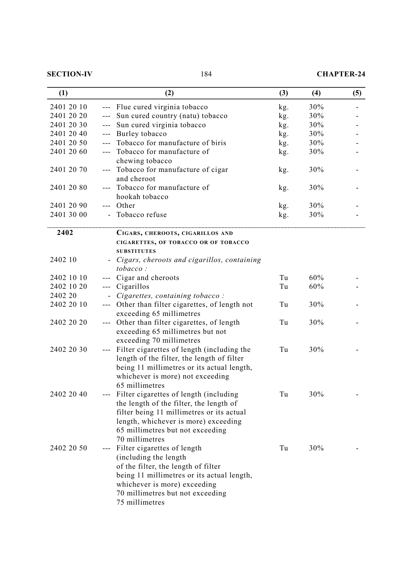| <b>SECTION-IV</b> |  |  |
|-------------------|--|--|
|                   |  |  |

# **SECTION-184 CHAPTER-24**

| (1)        |                      | (2)                                         | (3) | (4) | (5) |
|------------|----------------------|---------------------------------------------|-----|-----|-----|
| 2401 20 10 | $---$                | Flue cured virginia tobacco                 | kg. | 30% |     |
| 2401 20 20 |                      | Sun cured country (natu) tobacco            | kg. | 30% |     |
| 2401 20 30 | $\sim$ $\sim$ $\sim$ | Sun cured virginia tobacco                  | kg. | 30% |     |
| 2401 20 40 | $---$                | Burley tobacco                              | kg. | 30% |     |
| 2401 20 50 | $\overline{a}$       | Tobacco for manufacture of biris            | kg. | 30% |     |
| 2401 20 60 | $\qquad \qquad - -$  | Tobacco for manufacture of                  | kg. | 30% |     |
|            |                      | chewing tobacco                             |     |     |     |
| 2401 20 70 |                      | Tobacco for manufacture of cigar            | kg. | 30% |     |
|            |                      | and cheroot                                 |     |     |     |
| 2401 20 80 |                      | Tobacco for manufacture of                  | kg. | 30% |     |
|            |                      | hookah tobacco                              |     |     |     |
| 2401 20 90 | $\qquad \qquad - -$  | Other                                       | kg. | 30% |     |
| 2401 30 00 |                      | Tobacco refuse                              | kg. | 30% |     |
|            |                      |                                             |     |     |     |
| 2402       |                      | CIGARS, CHEROOTS, CIGARILLOS AND            |     |     |     |
|            |                      | CIGARETTES, OF TOBACCO OR OF TOBACCO        |     |     |     |
|            |                      | <b>SUBSTITUTES</b>                          |     |     |     |
| 2402 10    |                      | Cigars, cheroots and cigarillos, containing |     |     |     |
|            |                      | tobacco:                                    |     |     |     |
| 2402 10 10 |                      | Cigar and cheroots                          | Tu  | 60% |     |
| 2402 10 20 | $---$                | Cigarillos                                  | Tu  | 60% |     |
| 2402 20    |                      | Cigarettes, containing tobacco:             |     |     |     |
| 2402 20 10 | $---$                | Other than filter cigarettes, of length not | Tu  | 30% |     |
|            |                      | exceeding 65 millimetres                    |     |     |     |
| 2402 20 20 | $---$                | Other than filter cigarettes, of length     | Tu  | 30% |     |
|            |                      | exceeding 65 millimetres but not            |     |     |     |
|            |                      | exceeding 70 millimetres                    |     |     |     |
| 2402 20 30 |                      | Filter cigarettes of length (including the  | Tu  | 30% |     |
|            |                      | length of the filter, the length of filter  |     |     |     |
|            |                      | being 11 millimetres or its actual length,  |     |     |     |
|            |                      | whichever is more) not exceeding            |     |     |     |
|            |                      | 65 millimetres                              |     |     |     |
| 2402 20 40 |                      | --- Filter cigarettes of length (including  | Tu  | 30% |     |
|            |                      | the length of the filter, the length of     |     |     |     |
|            |                      | filter being 11 millimetres or its actual   |     |     |     |
|            |                      | length, whichever is more) exceeding        |     |     |     |
|            |                      | 65 millimetres but not exceeding            |     |     |     |
|            |                      | 70 millimetres                              |     |     |     |
| 2402 20 50 | $---$                | Filter cigarettes of length                 | Tu  | 30% |     |
|            |                      | (including the length)                      |     |     |     |
|            |                      | of the filter, the length of filter         |     |     |     |
|            |                      | being 11 millimetres or its actual length,  |     |     |     |
|            |                      | whichever is more) exceeding                |     |     |     |
|            |                      | 70 millimetres but not exceeding            |     |     |     |
|            |                      | 75 millimetres                              |     |     |     |